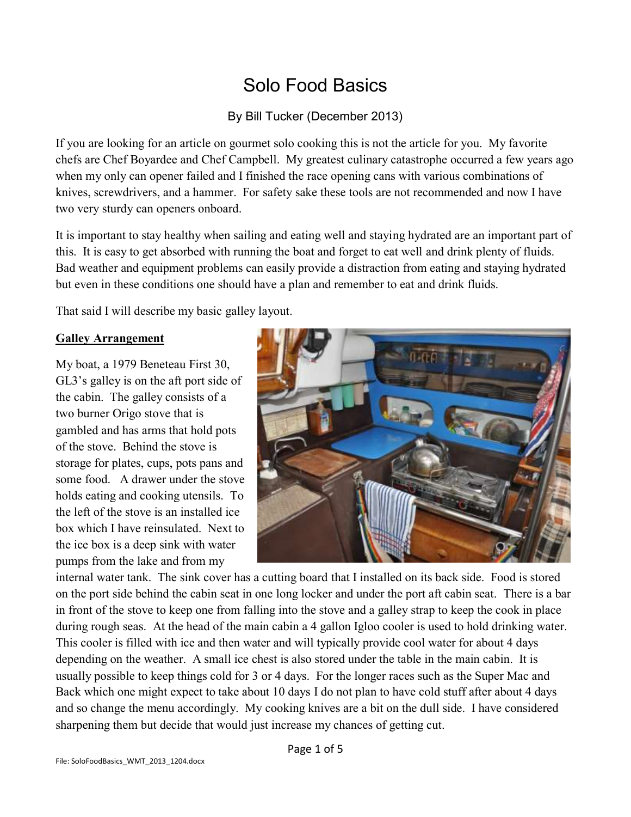# Solo Food Basics

By Bill Tucker (December 2013)

If you are looking for an article on gourmet solo cooking this is not the article for you. My favorite chefs are Chef Boyardee and Chef Campbell. My greatest culinary catastrophe occurred a few years ago when my only can opener failed and I finished the race opening cans with various combinations of knives, screwdrivers, and a hammer. For safety sake these tools are not recommended and now I have two very sturdy can openers onboard.

It is important to stay healthy when sailing and eating well and staying hydrated are an important part of this. It is easy to get absorbed with running the boat and forget to eat well and drink plenty of fluids. Bad weather and equipment problems can easily provide a distraction from eating and staying hydrated but even in these conditions one should have a plan and remember to eat and drink fluids.

That said I will describe my basic galley layout.

## **Galley Arrangement**

My boat, a 1979 Beneteau First 30, GL3's galley is on the aft port side of the cabin. The galley consists of a two burner Origo stove that is gambled and has arms that hold pots of the stove. Behind the stove is storage for plates, cups, pots pans and some food. A drawer under the stove holds eating and cooking utensils. To the left of the stove is an installed ice box which I have reinsulated. Next to the ice box is a deep sink with water pumps from the lake and from my



internal water tank. The sink cover has a cutting board that I installed on its back side. Food is stored on the port side behind the cabin seat in one long locker and under the port aft cabin seat. There is a bar in front of the stove to keep one from falling into the stove and a galley strap to keep the cook in place during rough seas. At the head of the main cabin a 4 gallon Igloo cooler is used to hold drinking water. This cooler is filled with ice and then water and will typically provide cool water for about 4 days depending on the weather. A small ice chest is also stored under the table in the main cabin. It is usually possible to keep things cold for 3 or 4 days. For the longer races such as the Super Mac and Back which one might expect to take about 10 days I do not plan to have cold stuff after about 4 days and so change the menu accordingly. My cooking knives are a bit on the dull side. I have considered sharpening them but decide that would just increase my chances of getting cut.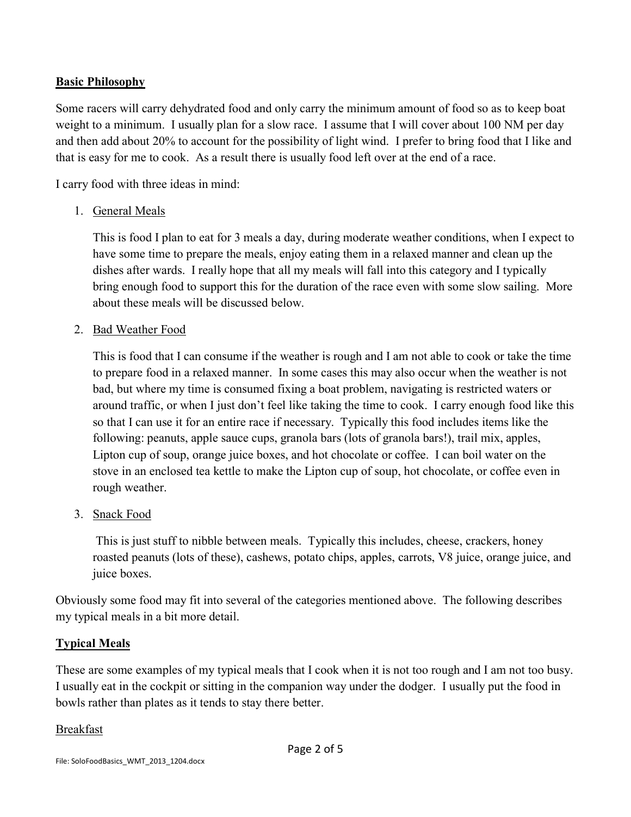### **Basic Philosophy**

Some racers will carry dehydrated food and only carry the minimum amount of food so as to keep boat weight to a minimum. I usually plan for a slow race. I assume that I will cover about 100 NM per day and then add about 20% to account for the possibility of light wind. I prefer to bring food that I like and that is easy for me to cook. As a result there is usually food left over at the end of a race.

I carry food with three ideas in mind:

1. General Meals

This is food I plan to eat for 3 meals a day, during moderate weather conditions, when I expect to have some time to prepare the meals, enjoy eating them in a relaxed manner and clean up the dishes after wards. I really hope that all my meals will fall into this category and I typically bring enough food to support this for the duration of the race even with some slow sailing. More about these meals will be discussed below.

2. Bad Weather Food

This is food that I can consume if the weather is rough and I am not able to cook or take the time to prepare food in a relaxed manner. In some cases this may also occur when the weather is not bad, but where my time is consumed fixing a boat problem, navigating is restricted waters or around traffic, or when I just don't feel like taking the time to cook. I carry enough food like this so that I can use it for an entire race if necessary. Typically this food includes items like the following: peanuts, apple sauce cups, granola bars (lots of granola bars!), trail mix, apples, Lipton cup of soup, orange juice boxes, and hot chocolate or coffee. I can boil water on the stove in an enclosed tea kettle to make the Lipton cup of soup, hot chocolate, or coffee even in rough weather.

3. Snack Food

This is just stuff to nibble between meals. Typically this includes, cheese, crackers, honey roasted peanuts (lots of these), cashews, potato chips, apples, carrots, V8 juice, orange juice, and juice boxes.

Obviously some food may fit into several of the categories mentioned above. The following describes my typical meals in a bit more detail.

## **Typical Meals**

These are some examples of my typical meals that I cook when it is not too rough and I am not too busy. I usually eat in the cockpit or sitting in the companion way under the dodger. I usually put the food in bowls rather than plates as it tends to stay there better.

#### Breakfast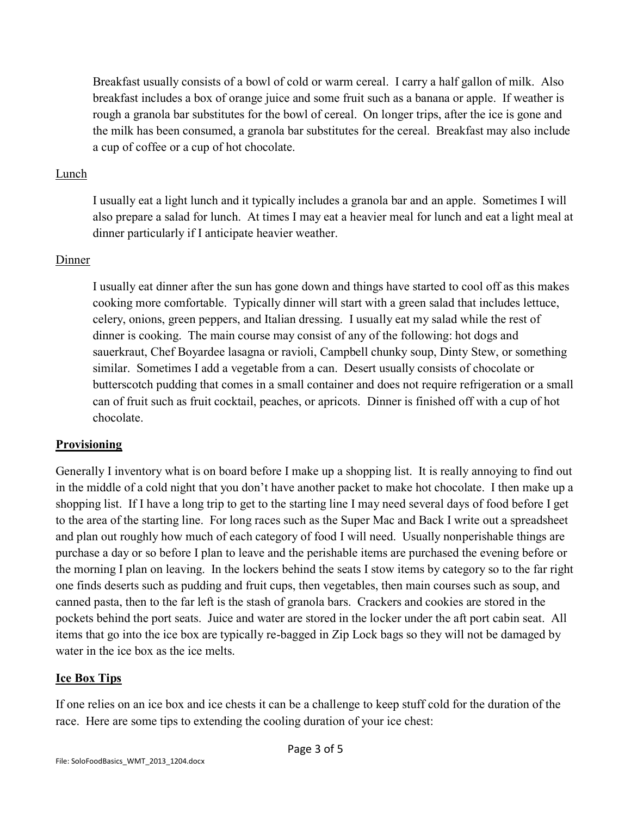Breakfast usually consists of a bowl of cold or warm cereal. I carry a half gallon of milk. Also breakfast includes a box of orange juice and some fruit such as a banana or apple. If weather is rough a granola bar substitutes for the bowl of cereal. On longer trips, after the ice is gone and the milk has been consumed, a granola bar substitutes for the cereal. Breakfast may also include a cup of coffee or a cup of hot chocolate.

#### Lunch

I usually eat a light lunch and it typically includes a granola bar and an apple. Sometimes I will also prepare a salad for lunch. At times I may eat a heavier meal for lunch and eat a light meal at dinner particularly if I anticipate heavier weather.

#### Dinner

I usually eat dinner after the sun has gone down and things have started to cool off as this makes cooking more comfortable. Typically dinner will start with a green salad that includes lettuce, celery, onions, green peppers, and Italian dressing. I usually eat my salad while the rest of dinner is cooking. The main course may consist of any of the following: hot dogs and sauerkraut, Chef Boyardee lasagna or ravioli, Campbell chunky soup, Dinty Stew, or something similar. Sometimes I add a vegetable from a can. Desert usually consists of chocolate or butterscotch pudding that comes in a small container and does not require refrigeration or a small can of fruit such as fruit cocktail, peaches, or apricots. Dinner is finished off with a cup of hot chocolate.

#### **Provisioning**

Generally I inventory what is on board before I make up a shopping list. It is really annoying to find out in the middle of a cold night that you don't have another packet to make hot chocolate. I then make up a shopping list. If I have a long trip to get to the starting line I may need several days of food before I get to the area of the starting line. For long races such as the Super Mac and Back I write out a spreadsheet and plan out roughly how much of each category of food I will need. Usually nonperishable things are purchase a day or so before I plan to leave and the perishable items are purchased the evening before or the morning I plan on leaving. In the lockers behind the seats I stow items by category so to the far right one finds deserts such as pudding and fruit cups, then vegetables, then main courses such as soup, and canned pasta, then to the far left is the stash of granola bars. Crackers and cookies are stored in the pockets behind the port seats. Juice and water are stored in the locker under the aft port cabin seat. All items that go into the ice box are typically re-bagged in Zip Lock bags so they will not be damaged by water in the ice box as the ice melts.

#### **Ice Box Tips**

If one relies on an ice box and ice chests it can be a challenge to keep stuff cold for the duration of the race. Here are some tips to extending the cooling duration of your ice chest: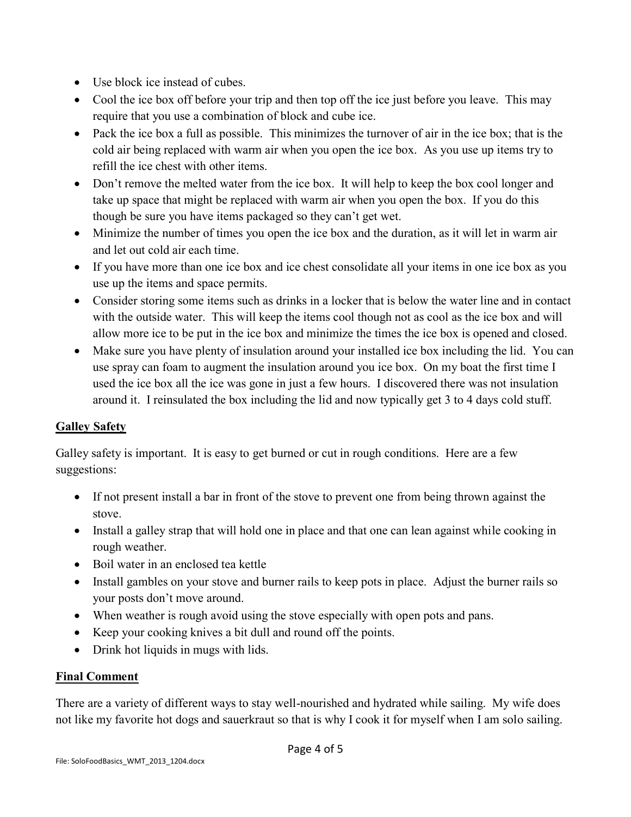- Use block ice instead of cubes.
- Cool the ice box off before your trip and then top off the ice just before you leave. This may require that you use a combination of block and cube ice.
- Pack the ice box a full as possible. This minimizes the turnover of air in the ice box; that is the cold air being replaced with warm air when you open the ice box. As you use up items try to refill the ice chest with other items.
- Don't remove the melted water from the ice box. It will help to keep the box cool longer and take up space that might be replaced with warm air when you open the box. If you do this though be sure you have items packaged so they can't get wet.
- Minimize the number of times you open the ice box and the duration, as it will let in warm air and let out cold air each time.
- If you have more than one ice box and ice chest consolidate all your items in one ice box as you use up the items and space permits.
- Consider storing some items such as drinks in a locker that is below the water line and in contact with the outside water. This will keep the items cool though not as cool as the ice box and will allow more ice to be put in the ice box and minimize the times the ice box is opened and closed.
- Make sure you have plenty of insulation around your installed ice box including the lid. You can use spray can foam to augment the insulation around you ice box. On my boat the first time I used the ice box all the ice was gone in just a few hours. I discovered there was not insulation around it. I reinsulated the box including the lid and now typically get 3 to 4 days cold stuff.

## **Galley Safety**

Galley safety is important. It is easy to get burned or cut in rough conditions. Here are a few suggestions:

- If not present install a bar in front of the stove to prevent one from being thrown against the stove.
- Install a galley strap that will hold one in place and that one can lean against while cooking in rough weather.
- Boil water in an enclosed tea kettle
- Install gambles on your stove and burner rails to keep pots in place. Adjust the burner rails so your posts don't move around.
- When weather is rough avoid using the stove especially with open pots and pans.
- Keep your cooking knives a bit dull and round off the points.
- Drink hot liquids in mugs with lids.

## **Final Comment**

There are a variety of different ways to stay well-nourished and hydrated while sailing. My wife does not like my favorite hot dogs and sauerkraut so that is why I cook it for myself when I am solo sailing.